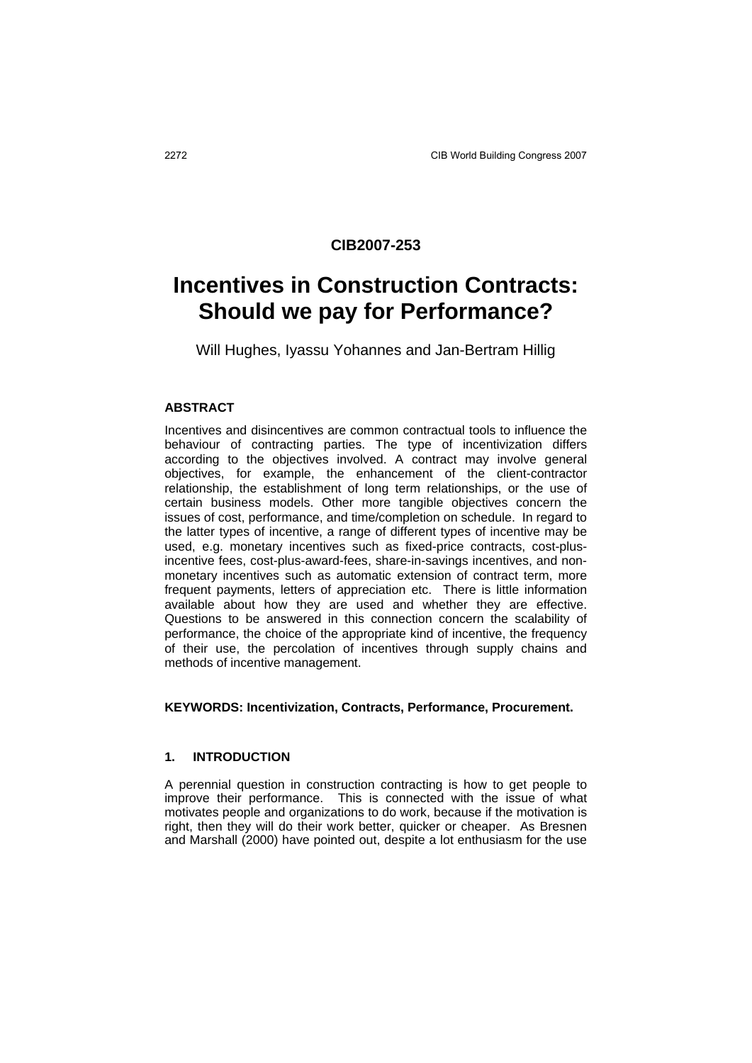## **CIB2007-253**

# **Incentives in Construction Contracts: Should we pay for Performance?**

Will Hughes, Iyassu Yohannes and Jan-Bertram Hillig

#### **ABSTRACT**

Incentives and disincentives are common contractual tools to influence the behaviour of contracting parties. The type of incentivization differs according to the objectives involved. A contract may involve general objectives, for example, the enhancement of the client-contractor relationship, the establishment of long term relationships, or the use of certain business models. Other more tangible objectives concern the issues of cost, performance, and time/completion on schedule. In regard to the latter types of incentive, a range of different types of incentive may be used, e.g. monetary incentives such as fixed-price contracts, cost-plusincentive fees, cost-plus-award-fees, share-in-savings incentives, and nonmonetary incentives such as automatic extension of contract term, more frequent payments, letters of appreciation etc. There is little information available about how they are used and whether they are effective. Questions to be answered in this connection concern the scalability of performance, the choice of the appropriate kind of incentive, the frequency of their use, the percolation of incentives through supply chains and methods of incentive management.

#### **KEYWORDS: Incentivization, Contracts, Performance, Procurement.**

#### **1. INTRODUCTION**

A perennial question in construction contracting is how to get people to improve their performance. This is connected with the issue of what motivates people and organizations to do work, because if the motivation is right, then they will do their work better, quicker or cheaper. As Bresnen and Marshall (2000) have pointed out, despite a lot enthusiasm for the use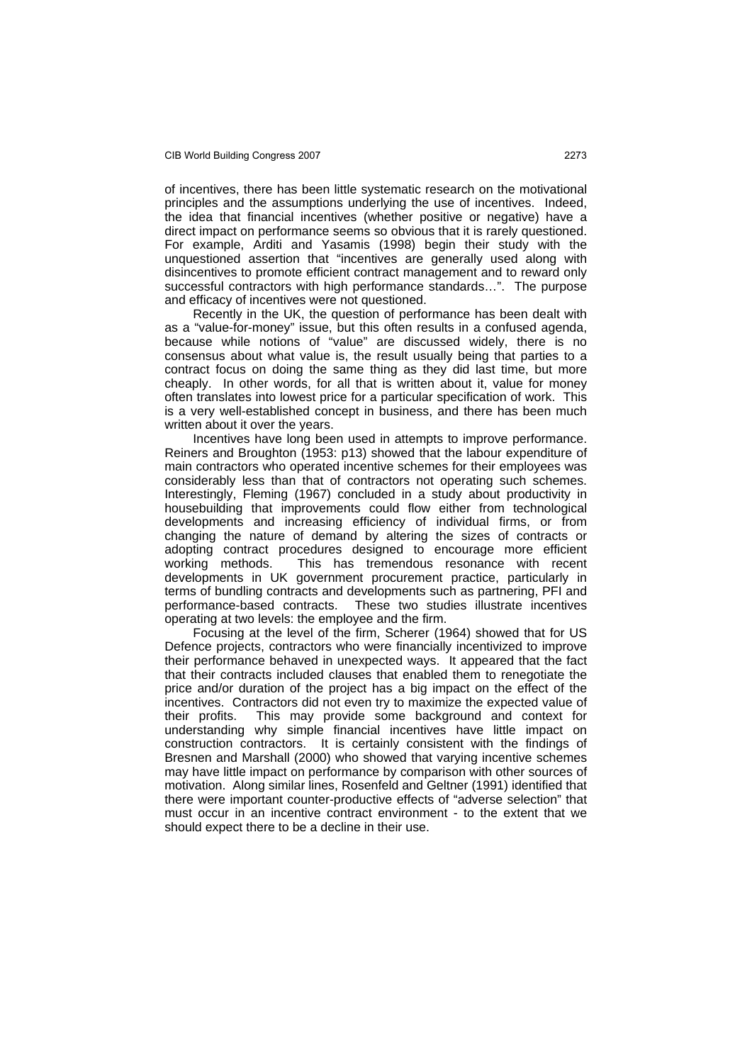of incentives, there has been little systematic research on the motivational principles and the assumptions underlying the use of incentives. Indeed, the idea that financial incentives (whether positive or negative) have a direct impact on performance seems so obvious that it is rarely questioned. For example, Arditi and Yasamis (1998) begin their study with the unquestioned assertion that "incentives are generally used along with disincentives to promote efficient contract management and to reward only successful contractors with high performance standards…". The purpose and efficacy of incentives were not questioned.

 Recently in the UK, the question of performance has been dealt with as a "value-for-money" issue, but this often results in a confused agenda, because while notions of "value" are discussed widely, there is no consensus about what value is, the result usually being that parties to a contract focus on doing the same thing as they did last time, but more cheaply. In other words, for all that is written about it, value for money often translates into lowest price for a particular specification of work. This is a very well-established concept in business, and there has been much written about it over the years.

 Incentives have long been used in attempts to improve performance. Reiners and Broughton (1953: p13) showed that the labour expenditure of main contractors who operated incentive schemes for their employees was considerably less than that of contractors not operating such schemes. Interestingly, Fleming (1967) concluded in a study about productivity in housebuilding that improvements could flow either from technological developments and increasing efficiency of individual firms, or from changing the nature of demand by altering the sizes of contracts or adopting contract procedures designed to encourage more efficient working methods. This has tremendous resonance with recent developments in UK government procurement practice, particularly in terms of bundling contracts and developments such as partnering, PFI and performance-based contracts. These two studies illustrate incentives operating at two levels: the employee and the firm.

 Focusing at the level of the firm, Scherer (1964) showed that for US Defence projects, contractors who were financially incentivized to improve their performance behaved in unexpected ways. It appeared that the fact that their contracts included clauses that enabled them to renegotiate the price and/or duration of the project has a big impact on the effect of the incentives. Contractors did not even try to maximize the expected value of their profits. This may provide some background and context for understanding why simple financial incentives have little impact on construction contractors. It is certainly consistent with the findings of Bresnen and Marshall (2000) who showed that varying incentive schemes may have little impact on performance by comparison with other sources of motivation. Along similar lines, Rosenfeld and Geltner (1991) identified that there were important counter-productive effects of "adverse selection" that must occur in an incentive contract environment - to the extent that we should expect there to be a decline in their use.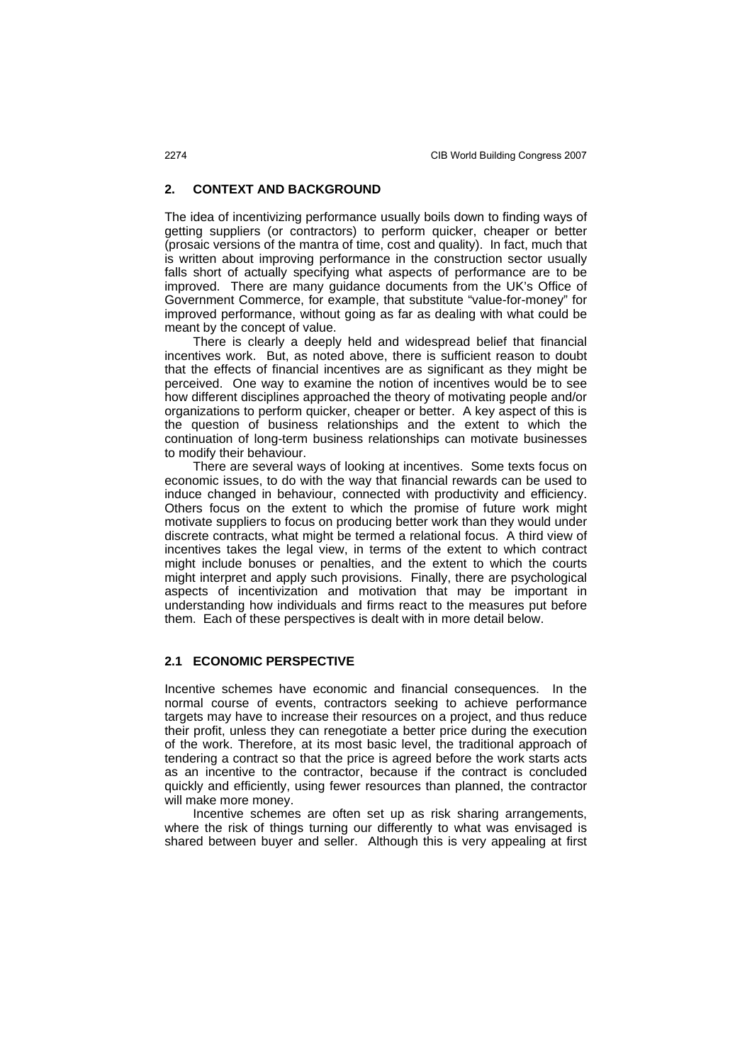### **2. CONTEXT AND BACKGROUND**

The idea of incentivizing performance usually boils down to finding ways of getting suppliers (or contractors) to perform quicker, cheaper or better (prosaic versions of the mantra of time, cost and quality). In fact, much that is written about improving performance in the construction sector usually falls short of actually specifying what aspects of performance are to be improved. There are many guidance documents from the UK's Office of Government Commerce, for example, that substitute "value-for-money" for improved performance, without going as far as dealing with what could be meant by the concept of value.

 There is clearly a deeply held and widespread belief that financial incentives work. But, as noted above, there is sufficient reason to doubt that the effects of financial incentives are as significant as they might be perceived. One way to examine the notion of incentives would be to see how different disciplines approached the theory of motivating people and/or organizations to perform quicker, cheaper or better. A key aspect of this is the question of business relationships and the extent to which the continuation of long-term business relationships can motivate businesses to modify their behaviour.

 There are several ways of looking at incentives. Some texts focus on economic issues, to do with the way that financial rewards can be used to induce changed in behaviour, connected with productivity and efficiency. Others focus on the extent to which the promise of future work might motivate suppliers to focus on producing better work than they would under discrete contracts, what might be termed a relational focus. A third view of incentives takes the legal view, in terms of the extent to which contract might include bonuses or penalties, and the extent to which the courts might interpret and apply such provisions. Finally, there are psychological aspects of incentivization and motivation that may be important in understanding how individuals and firms react to the measures put before them. Each of these perspectives is dealt with in more detail below.

## **2.1 ECONOMIC PERSPECTIVE**

Incentive schemes have economic and financial consequences. In the normal course of events, contractors seeking to achieve performance targets may have to increase their resources on a project, and thus reduce their profit, unless they can renegotiate a better price during the execution of the work. Therefore, at its most basic level, the traditional approach of tendering a contract so that the price is agreed before the work starts acts as an incentive to the contractor, because if the contract is concluded quickly and efficiently, using fewer resources than planned, the contractor will make more money.

 Incentive schemes are often set up as risk sharing arrangements, where the risk of things turning our differently to what was envisaged is shared between buyer and seller. Although this is very appealing at first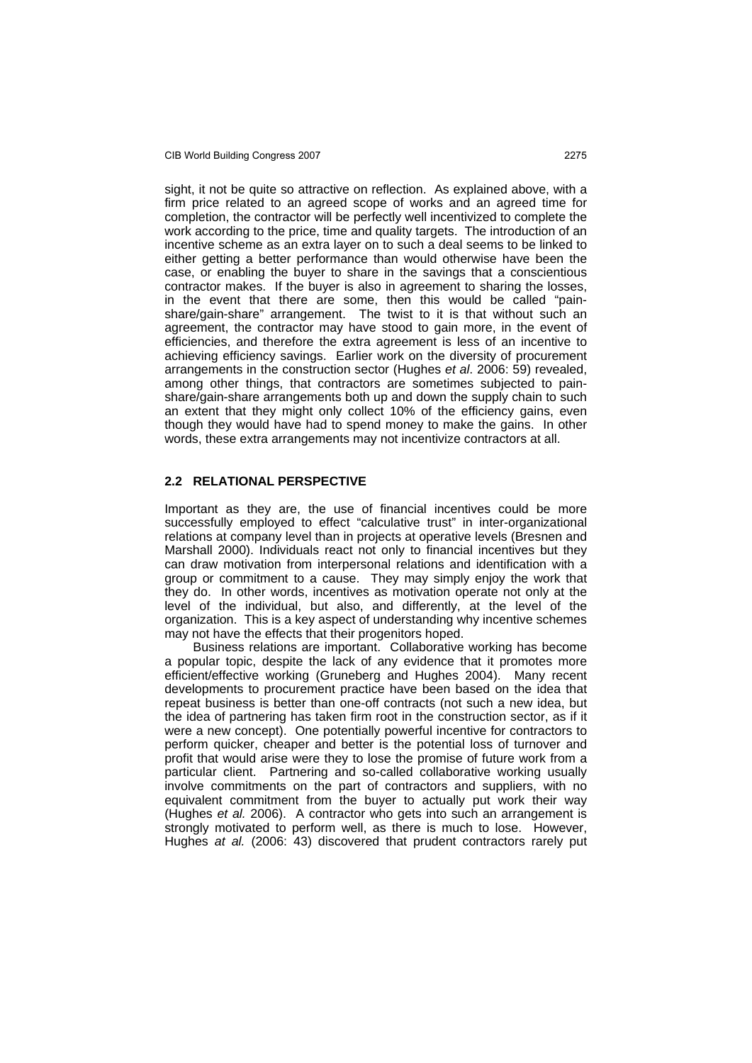#### CIB World Building Congress 2007 2275

sight, it not be quite so attractive on reflection. As explained above, with a firm price related to an agreed scope of works and an agreed time for completion, the contractor will be perfectly well incentivized to complete the work according to the price, time and quality targets. The introduction of an incentive scheme as an extra layer on to such a deal seems to be linked to either getting a better performance than would otherwise have been the case, or enabling the buyer to share in the savings that a conscientious contractor makes. If the buyer is also in agreement to sharing the losses, in the event that there are some, then this would be called "painshare/gain-share" arrangement. The twist to it is that without such an agreement, the contractor may have stood to gain more, in the event of efficiencies, and therefore the extra agreement is less of an incentive to achieving efficiency savings. Earlier work on the diversity of procurement arrangements in the construction sector (Hughes *et al*. 2006: 59) revealed, among other things, that contractors are sometimes subjected to painshare/gain-share arrangements both up and down the supply chain to such an extent that they might only collect 10% of the efficiency gains, even though they would have had to spend money to make the gains. In other words, these extra arrangements may not incentivize contractors at all.

#### **2.2 RELATIONAL PERSPECTIVE**

Important as they are, the use of financial incentives could be more successfully employed to effect "calculative trust" in inter-organizational relations at company level than in projects at operative levels (Bresnen and Marshall 2000). Individuals react not only to financial incentives but they can draw motivation from interpersonal relations and identification with a group or commitment to a cause. They may simply enjoy the work that they do. In other words, incentives as motivation operate not only at the level of the individual, but also, and differently, at the level of the organization. This is a key aspect of understanding why incentive schemes may not have the effects that their progenitors hoped.

 Business relations are important. Collaborative working has become a popular topic, despite the lack of any evidence that it promotes more efficient/effective working (Gruneberg and Hughes 2004). Many recent developments to procurement practice have been based on the idea that repeat business is better than one-off contracts (not such a new idea, but the idea of partnering has taken firm root in the construction sector, as if it were a new concept). One potentially powerful incentive for contractors to perform quicker, cheaper and better is the potential loss of turnover and profit that would arise were they to lose the promise of future work from a particular client. Partnering and so-called collaborative working usually involve commitments on the part of contractors and suppliers, with no equivalent commitment from the buyer to actually put work their way (Hughes *et al.* 2006). A contractor who gets into such an arrangement is strongly motivated to perform well, as there is much to lose. However, Hughes *at al.* (2006: 43) discovered that prudent contractors rarely put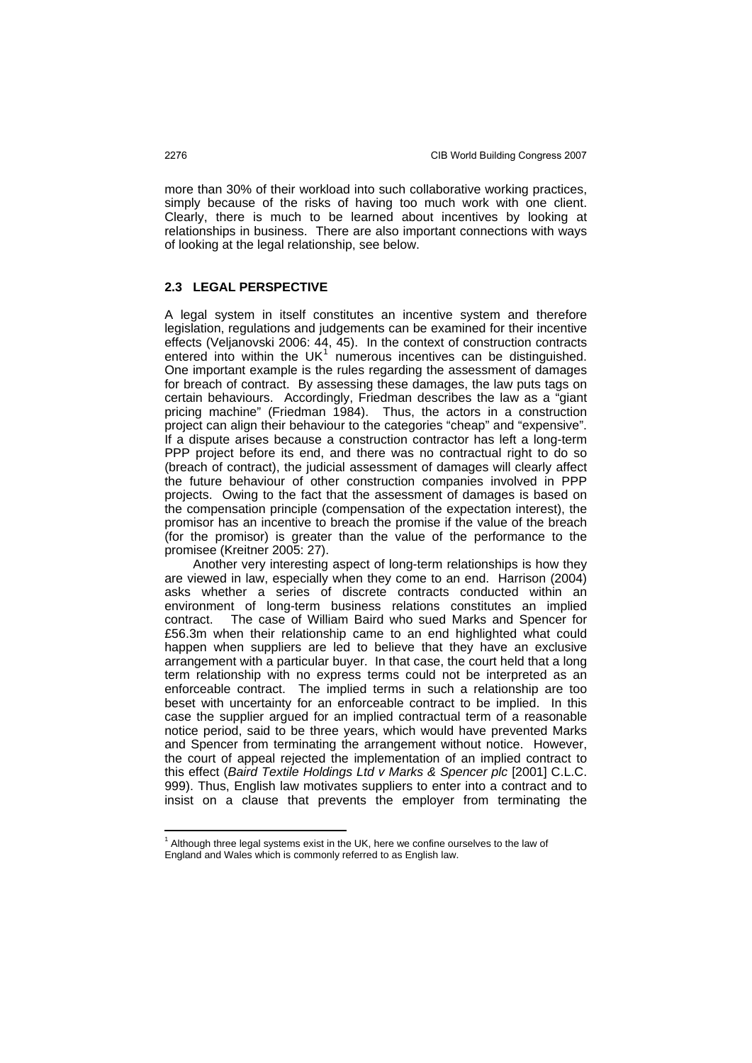more than 30% of their workload into such collaborative working practices, simply because of the risks of having too much work with one client. Clearly, there is much to be learned about incentives by looking at relationships in business. There are also important connections with ways of looking at the legal relationship, see below.

#### **2.3 LEGAL PERSPECTIVE**

A legal system in itself constitutes an incentive system and therefore legislation, regulations and judgements can be examined for their incentive effects (Veljanovski 2006: 44, 45). In the context of construction contracts entered into within the UK<sup>[1](#page-4-0)</sup> numerous incentives can be distinguished. One important example is the rules regarding the assessment of damages for breach of contract. By assessing these damages, the law puts tags on certain behaviours. Accordingly, Friedman describes the law as a "giant pricing machine" (Friedman 1984). Thus, the actors in a construction project can align their behaviour to the categories "cheap" and "expensive". If a dispute arises because a construction contractor has left a long-term PPP project before its end, and there was no contractual right to do so (breach of contract), the judicial assessment of damages will clearly affect the future behaviour of other construction companies involved in PPP projects. Owing to the fact that the assessment of damages is based on the compensation principle (compensation of the expectation interest), the promisor has an incentive to breach the promise if the value of the breach (for the promisor) is greater than the value of the performance to the promisee (Kreitner 2005: 27).

 Another very interesting aspect of long-term relationships is how they are viewed in law, especially when they come to an end. Harrison (2004) asks whether a series of discrete contracts conducted within an environment of long-term business relations constitutes an implied contract. The case of William Baird who sued Marks and Spencer for £56.3m when their relationship came to an end highlighted what could happen when suppliers are led to believe that they have an exclusive arrangement with a particular buyer. In that case, the court held that a long term relationship with no express terms could not be interpreted as an enforceable contract. The implied terms in such a relationship are too beset with uncertainty for an enforceable contract to be implied. In this case the supplier argued for an implied contractual term of a reasonable notice period, said to be three years, which would have prevented Marks and Spencer from terminating the arrangement without notice. However, the court of appeal rejected the implementation of an implied contract to this effect (*Baird Textile Holdings Ltd v Marks & Spencer plc* [2001] C.L.C. 999). Thus, English law motivates suppliers to enter into a contract and to insist on a clause that prevents the employer from terminating the

 $\overline{a}$ 

<span id="page-4-0"></span> $<sup>1</sup>$  Although three legal systems exist in the UK, here we confine ourselves to the law of</sup> England and Wales which is commonly referred to as English law.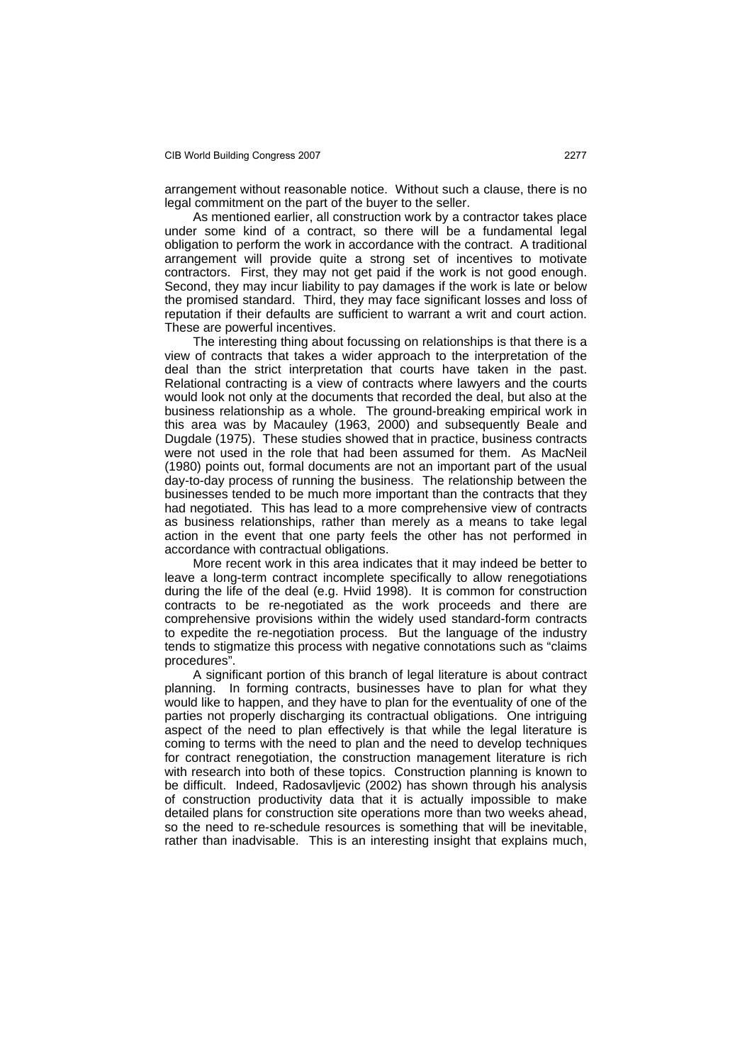arrangement without reasonable notice. Without such a clause, there is no legal commitment on the part of the buyer to the seller.

 As mentioned earlier, all construction work by a contractor takes place under some kind of a contract, so there will be a fundamental legal obligation to perform the work in accordance with the contract. A traditional arrangement will provide quite a strong set of incentives to motivate contractors. First, they may not get paid if the work is not good enough. Second, they may incur liability to pay damages if the work is late or below the promised standard. Third, they may face significant losses and loss of reputation if their defaults are sufficient to warrant a writ and court action. These are powerful incentives.

 The interesting thing about focussing on relationships is that there is a view of contracts that takes a wider approach to the interpretation of the deal than the strict interpretation that courts have taken in the past. Relational contracting is a view of contracts where lawyers and the courts would look not only at the documents that recorded the deal, but also at the business relationship as a whole. The ground-breaking empirical work in this area was by Macauley (1963, 2000) and subsequently Beale and Dugdale (1975). These studies showed that in practice, business contracts were not used in the role that had been assumed for them. As MacNeil (1980) points out, formal documents are not an important part of the usual day-to-day process of running the business. The relationship between the businesses tended to be much more important than the contracts that they had negotiated. This has lead to a more comprehensive view of contracts as business relationships, rather than merely as a means to take legal action in the event that one party feels the other has not performed in accordance with contractual obligations.

 More recent work in this area indicates that it may indeed be better to leave a long-term contract incomplete specifically to allow renegotiations during the life of the deal (e.g. Hviid 1998). It is common for construction contracts to be re-negotiated as the work proceeds and there are comprehensive provisions within the widely used standard-form contracts to expedite the re-negotiation process. But the language of the industry tends to stigmatize this process with negative connotations such as "claims procedures".

 A significant portion of this branch of legal literature is about contract planning. In forming contracts, businesses have to plan for what they would like to happen, and they have to plan for the eventuality of one of the parties not properly discharging its contractual obligations. One intriguing aspect of the need to plan effectively is that while the legal literature is coming to terms with the need to plan and the need to develop techniques for contract renegotiation, the construction management literature is rich with research into both of these topics. Construction planning is known to be difficult. Indeed, Radosavljevic (2002) has shown through his analysis of construction productivity data that it is actually impossible to make detailed plans for construction site operations more than two weeks ahead, so the need to re-schedule resources is something that will be inevitable, rather than inadvisable. This is an interesting insight that explains much,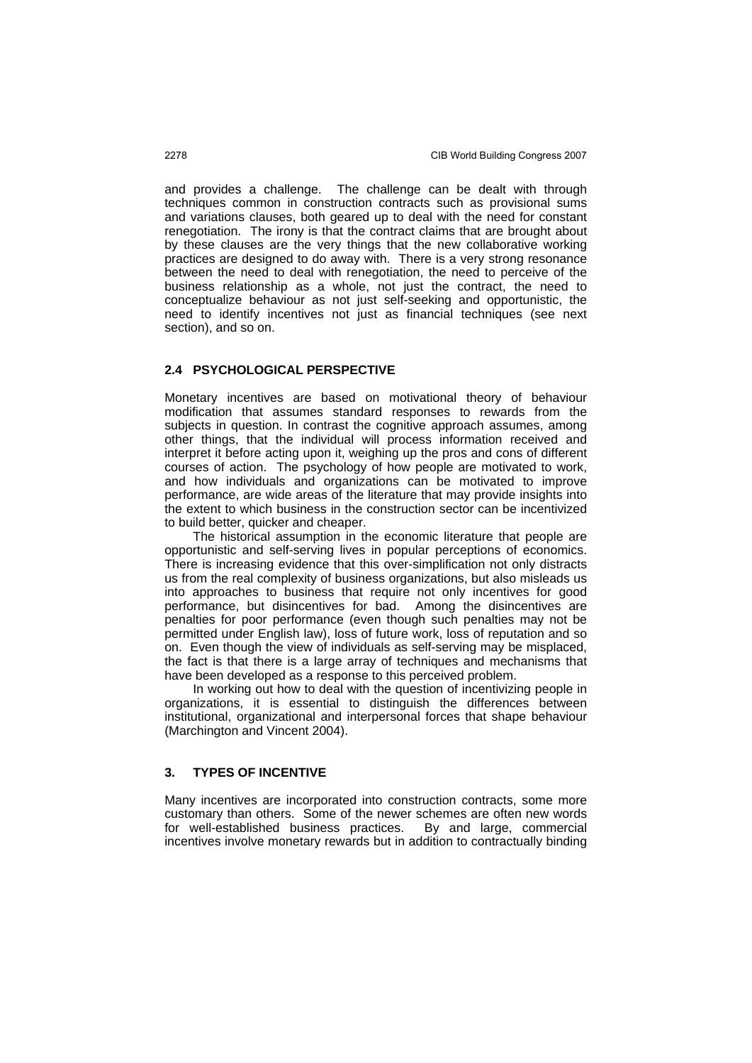and provides a challenge. The challenge can be dealt with through techniques common in construction contracts such as provisional sums and variations clauses, both geared up to deal with the need for constant renegotiation. The irony is that the contract claims that are brought about by these clauses are the very things that the new collaborative working practices are designed to do away with. There is a very strong resonance between the need to deal with renegotiation, the need to perceive of the business relationship as a whole, not just the contract, the need to conceptualize behaviour as not just self-seeking and opportunistic, the need to identify incentives not just as financial techniques (see next section), and so on.

#### **2.4 PSYCHOLOGICAL PERSPECTIVE**

Monetary incentives are based on motivational theory of behaviour modification that assumes standard responses to rewards from the subjects in question. In contrast the cognitive approach assumes, among other things, that the individual will process information received and interpret it before acting upon it, weighing up the pros and cons of different courses of action. The psychology of how people are motivated to work, and how individuals and organizations can be motivated to improve performance, are wide areas of the literature that may provide insights into the extent to which business in the construction sector can be incentivized to build better, quicker and cheaper.

 The historical assumption in the economic literature that people are opportunistic and self-serving lives in popular perceptions of economics. There is increasing evidence that this over-simplification not only distracts us from the real complexity of business organizations, but also misleads us into approaches to business that require not only incentives for good performance, but disincentives for bad. Among the disincentives are penalties for poor performance (even though such penalties may not be permitted under English law), loss of future work, loss of reputation and so on. Even though the view of individuals as self-serving may be misplaced, the fact is that there is a large array of techniques and mechanisms that have been developed as a response to this perceived problem.

 In working out how to deal with the question of incentivizing people in organizations, it is essential to distinguish the differences between institutional, organizational and interpersonal forces that shape behaviour (Marchington and Vincent 2004).

#### **3. TYPES OF INCENTIVE**

Many incentives are incorporated into construction contracts, some more customary than others. Some of the newer schemes are often new words for well-established business practices. By and large, commercial incentives involve monetary rewards but in addition to contractually binding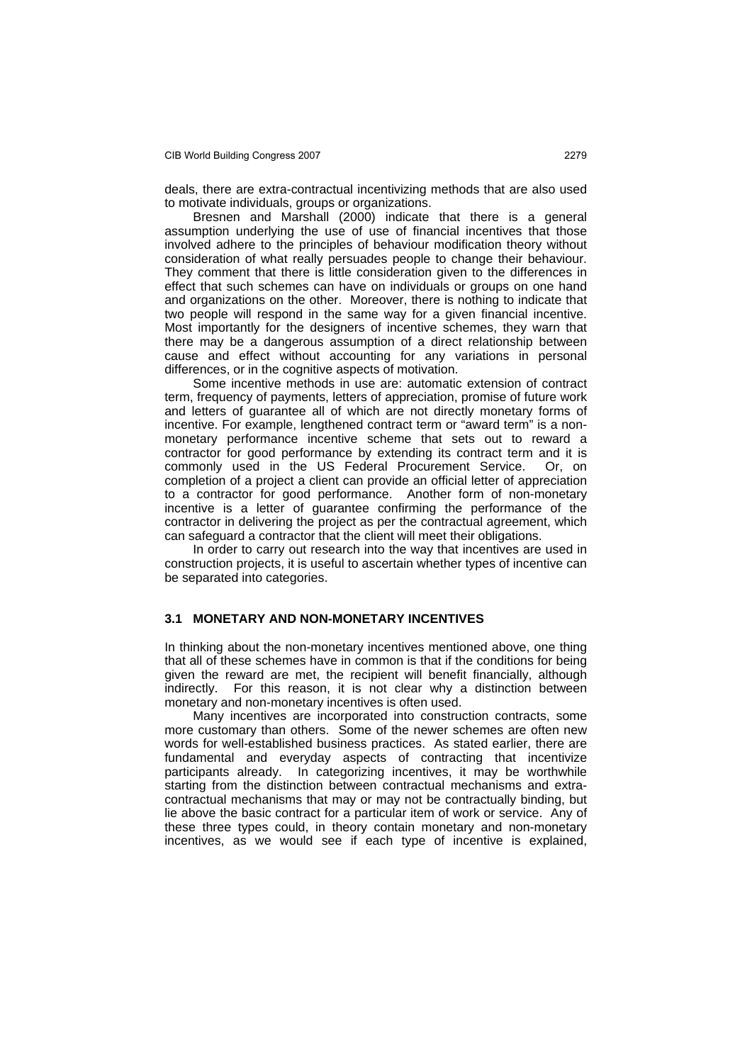deals, there are extra-contractual incentivizing methods that are also used to motivate individuals, groups or organizations.

 Bresnen and Marshall (2000) indicate that there is a general assumption underlying the use of use of financial incentives that those involved adhere to the principles of behaviour modification theory without consideration of what really persuades people to change their behaviour. They comment that there is little consideration given to the differences in effect that such schemes can have on individuals or groups on one hand and organizations on the other. Moreover, there is nothing to indicate that two people will respond in the same way for a given financial incentive. Most importantly for the designers of incentive schemes, they warn that there may be a dangerous assumption of a direct relationship between cause and effect without accounting for any variations in personal differences, or in the cognitive aspects of motivation.

 Some incentive methods in use are: automatic extension of contract term, frequency of payments, letters of appreciation, promise of future work and letters of guarantee all of which are not directly monetary forms of incentive. For example, lengthened contract term or "award term" is a nonmonetary performance incentive scheme that sets out to reward a contractor for good performance by extending its contract term and it is commonly used in the US Federal Procurement Service. Or, on completion of a project a client can provide an official letter of appreciation to a contractor for good performance. Another form of non-monetary incentive is a letter of guarantee confirming the performance of the contractor in delivering the project as per the contractual agreement, which can safeguard a contractor that the client will meet their obligations.

In order to carry out research into the way that incentives are used in construction projects, it is useful to ascertain whether types of incentive can be separated into categories.

#### **3.1 MONETARY AND NON-MONETARY INCENTIVES**

In thinking about the non-monetary incentives mentioned above, one thing that all of these schemes have in common is that if the conditions for being given the reward are met, the recipient will benefit financially, although indirectly. For this reason, it is not clear why a distinction between monetary and non-monetary incentives is often used.

 Many incentives are incorporated into construction contracts, some more customary than others. Some of the newer schemes are often new words for well-established business practices. As stated earlier, there are fundamental and everyday aspects of contracting that incentivize participants already. In categorizing incentives, it may be worthwhile starting from the distinction between contractual mechanisms and extracontractual mechanisms that may or may not be contractually binding, but lie above the basic contract for a particular item of work or service. Any of these three types could, in theory contain monetary and non-monetary incentives, as we would see if each type of incentive is explained,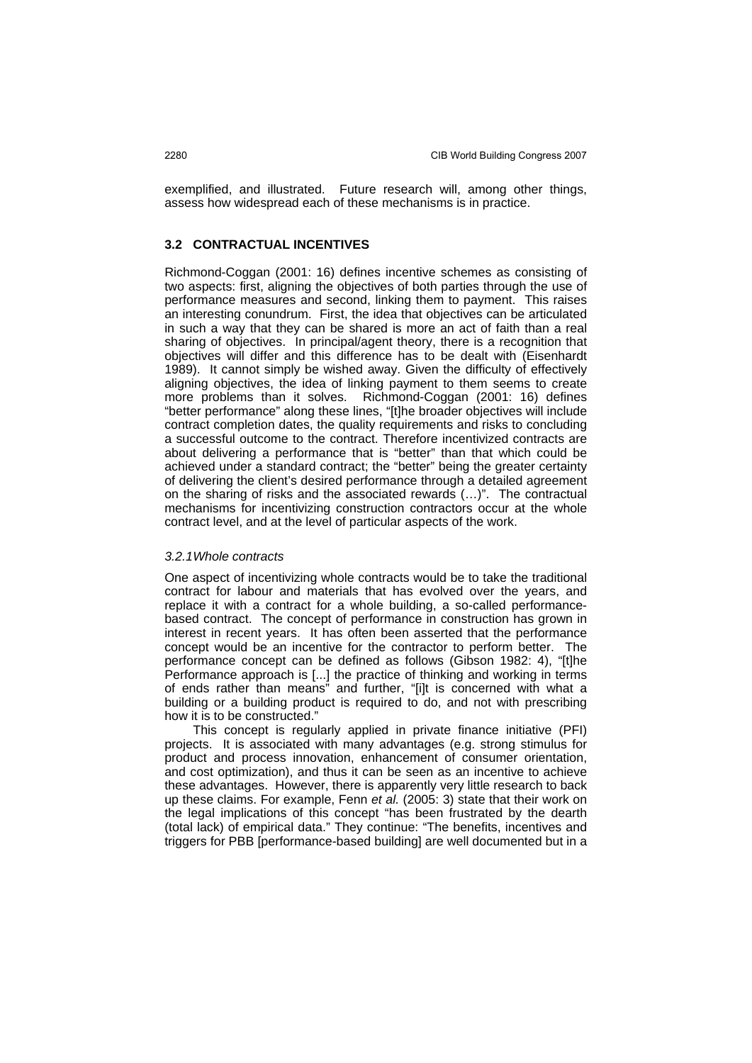exemplified, and illustrated. Future research will, among other things, assess how widespread each of these mechanisms is in practice.

#### **3.2 CONTRACTUAL INCENTIVES**

Richmond-Coggan (2001: 16) defines incentive schemes as consisting of two aspects: first, aligning the objectives of both parties through the use of performance measures and second, linking them to payment. This raises an interesting conundrum. First, the idea that objectives can be articulated in such a way that they can be shared is more an act of faith than a real sharing of objectives. In principal/agent theory, there is a recognition that objectives will differ and this difference has to be dealt with (Eisenhardt 1989). It cannot simply be wished away. Given the difficulty of effectively aligning objectives, the idea of linking payment to them seems to create more problems than it solves. Richmond-Coggan (2001: 16) defines "better performance" along these lines, "[t]he broader objectives will include contract completion dates, the quality requirements and risks to concluding a successful outcome to the contract. Therefore incentivized contracts are about delivering a performance that is "better" than that which could be achieved under a standard contract; the "better" being the greater certainty of delivering the client's desired performance through a detailed agreement on the sharing of risks and the associated rewards (…)". The contractual mechanisms for incentivizing construction contractors occur at the whole contract level, and at the level of particular aspects of the work.

#### *3.2.1 Whole contracts*

One aspect of incentivizing whole contracts would be to take the traditional contract for labour and materials that has evolved over the years, and replace it with a contract for a whole building, a so-called performancebased contract. The concept of performance in construction has grown in interest in recent years. It has often been asserted that the performance concept would be an incentive for the contractor to perform better. The performance concept can be defined as follows (Gibson 1982: 4), "[t]he Performance approach is [...] the practice of thinking and working in terms of ends rather than means" and further, "[i]t is concerned with what a building or a building product is required to do, and not with prescribing how it is to be constructed."

 This concept is regularly applied in private finance initiative (PFI) projects. It is associated with many advantages (e.g. strong stimulus for product and process innovation, enhancement of consumer orientation, and cost optimization), and thus it can be seen as an incentive to achieve these advantages. However, there is apparently very little research to back up these claims. For example, Fenn *et al.* (2005: 3) state that their work on the legal implications of this concept "has been frustrated by the dearth (total lack) of empirical data." They continue: "The benefits, incentives and triggers for PBB [performance-based building] are well documented but in a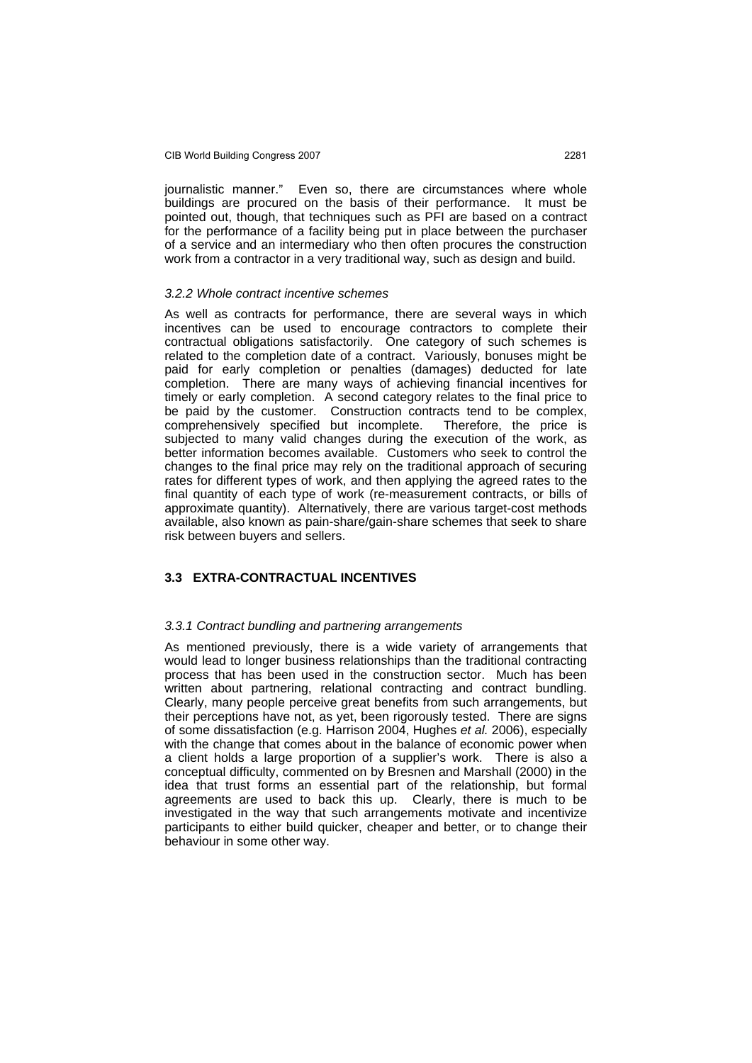journalistic manner." Even so, there are circumstances where whole buildings are procured on the basis of their performance. It must be pointed out, though, that techniques such as PFI are based on a contract for the performance of a facility being put in place between the purchaser of a service and an intermediary who then often procures the construction work from a contractor in a very traditional way, such as design and build.

#### *3.2.2Whole contract incentive schemes*

As well as contracts for performance, there are several ways in which incentives can be used to encourage contractors to complete their contractual obligations satisfactorily. One category of such schemes is related to the completion date of a contract. Variously, bonuses might be paid for early completion or penalties (damages) deducted for late completion. There are many ways of achieving financial incentives for timely or early completion. A second category relates to the final price to be paid by the customer. Construction contracts tend to be complex, comprehensively specified but incomplete. Therefore, the price is subjected to many valid changes during the execution of the work, as better information becomes available. Customers who seek to control the changes to the final price may rely on the traditional approach of securing rates for different types of work, and then applying the agreed rates to the final quantity of each type of work (re-measurement contracts, or bills of approximate quantity). Alternatively, there are various target-cost methods available, also known as pain-share/gain-share schemes that seek to share risk between buyers and sellers.

#### **3.3 EXTRA-CONTRACTUAL INCENTIVES**

#### *3.3.1Contract bundling and partnering arrangements*

As mentioned previously, there is a wide variety of arrangements that would lead to longer business relationships than the traditional contracting process that has been used in the construction sector. Much has been written about partnering, relational contracting and contract bundling. Clearly, many people perceive great benefits from such arrangements, but their perceptions have not, as yet, been rigorously tested. There are signs of some dissatisfaction (e.g. Harrison 2004, Hughes *et al.* 2006), especially with the change that comes about in the balance of economic power when a client holds a large proportion of a supplier's work. There is also a conceptual difficulty, commented on by Bresnen and Marshall (2000) in the idea that trust forms an essential part of the relationship, but formal agreements are used to back this up. Clearly, there is much to be investigated in the way that such arrangements motivate and incentivize participants to either build quicker, cheaper and better, or to change their behaviour in some other way.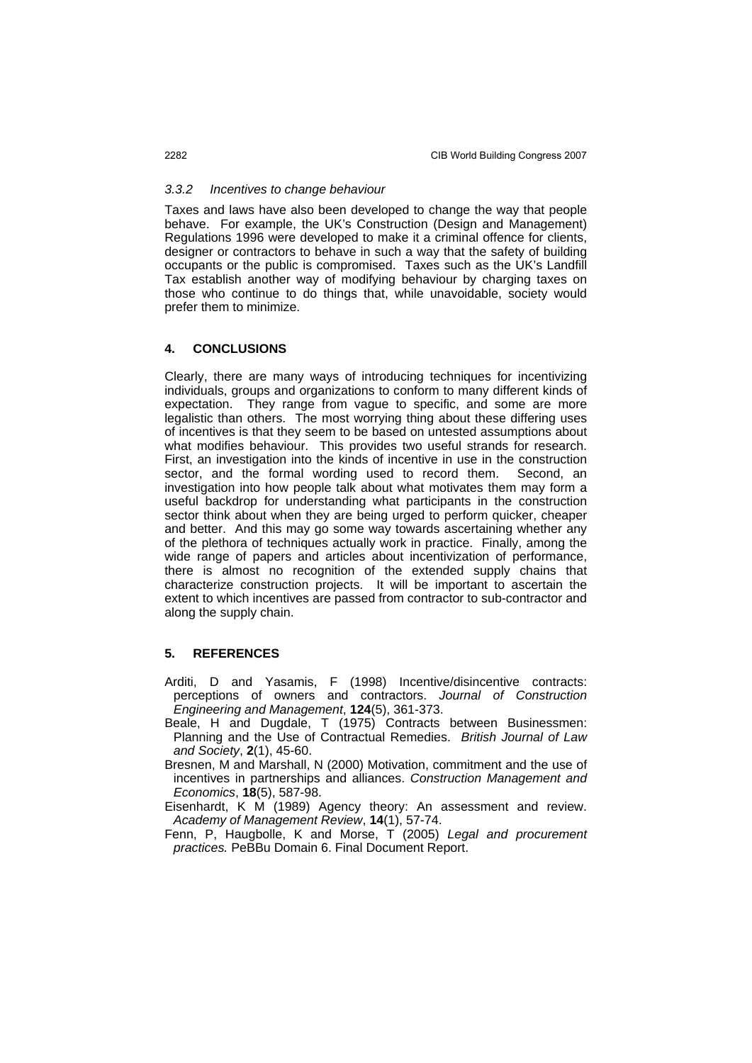#### *3.3.2 Incentives to change behaviour*

Taxes and laws have also been developed to change the way that people behave. For example, the UK's Construction (Design and Management) Regulations 1996 were developed to make it a criminal offence for clients, designer or contractors to behave in such a way that the safety of building occupants or the public is compromised. Taxes such as the UK's Landfill Tax establish another way of modifying behaviour by charging taxes on those who continue to do things that, while unavoidable, society would prefer them to minimize.

#### **4. CONCLUSIONS**

Clearly, there are many ways of introducing techniques for incentivizing individuals, groups and organizations to conform to many different kinds of expectation. They range from vague to specific, and some are more legalistic than others. The most worrying thing about these differing uses of incentives is that they seem to be based on untested assumptions about what modifies behaviour. This provides two useful strands for research. First, an investigation into the kinds of incentive in use in the construction sector, and the formal wording used to record them. Second, an investigation into how people talk about what motivates them may form a useful backdrop for understanding what participants in the construction sector think about when they are being urged to perform quicker, cheaper and better. And this may go some way towards ascertaining whether any of the plethora of techniques actually work in practice. Finally, among the wide range of papers and articles about incentivization of performance, there is almost no recognition of the extended supply chains that characterize construction projects. It will be important to ascertain the extent to which incentives are passed from contractor to sub-contractor and along the supply chain.

#### **5. REFERENCES**

- Arditi, D and Yasamis, F (1998) Incentive/disincentive contracts: perceptions of owners and contractors. *Journal of Construction Engineering and Management*, **124**(5), 361-373.
- Beale, H and Dugdale, T (1975) Contracts between Businessmen: Planning and the Use of Contractual Remedies. *British Journal of Law and Society*, **2**(1), 45-60.
- Bresnen, M and Marshall, N (2000) Motivation, commitment and the use of incentives in partnerships and alliances. *Construction Management and Economics*, **18**(5), 587-98.
- Eisenhardt, K M (1989) Agency theory: An assessment and review. *Academy of Management Review*, **14**(1), 57-74.
- Fenn, P, Haugbolle, K and Morse, T (2005) *Legal and procurement practices.* PeBBu Domain 6. Final Document Report.